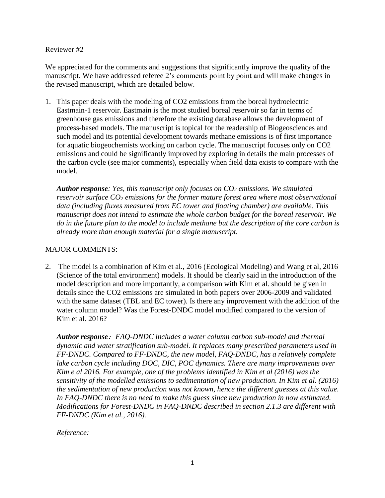## Reviewer #2

We appreciated for the comments and suggestions that significantly improve the quality of the manuscript. We have addressed referee 2's comments point by point and will make changes in the revised manuscript, which are detailed below.

1. This paper deals with the modeling of CO2 emissions from the boreal hydroelectric Eastmain-1 reservoir. Eastmain is the most studied boreal reservoir so far in terms of greenhouse gas emissions and therefore the existing database allows the development of process-based models. The manuscript is topical for the readership of Biogeosciences and such model and its potential development towards methane emissions is of first importance for aquatic biogeochemists working on carbon cycle. The manuscript focuses only on CO2 emissions and could be significantly improved by exploring in details the main processes of the carbon cycle (see major comments), especially when field data exists to compare with the model.

*Author response: Yes, this manuscript only focuses on CO<sup>2</sup> emissions. We simulated reservoir surface CO<sup>2</sup> emissions for the former mature forest area where most observational data (including fluxes measured from EC tower and floating chamber) are available. This manuscript does not intend to estimate the whole carbon budget for the boreal reservoir. We do in the future plan to the model to include methane but the description of the core carbon is already more than enough material for a single manuscript.*

## MAJOR COMMENTS:

2. The model is a combination of Kim et al., 2016 (Ecological Modeling) and Wang et al, 2016 (Science of the total environment) models. It should be clearly said in the introduction of the model description and more importantly, a comparison with Kim et al. should be given in details since the CO2 emissions are simulated in both papers over 2006-2009 and validated with the same dataset (TBL and EC tower). Is there any improvement with the addition of the water column model? Was the Forest-DNDC model modified compared to the version of Kim et al. 2016?

*Author response*:*FAQ-DNDC includes a water column carbon sub-model and thermal dynamic and water stratification sub-model. It replaces many prescribed parameters used in FF-DNDC. Compared to FF-DNDC, the new model, FAQ-DNDC, has a relatively complete*  lake carbon cycle including DOC, DIC, POC dynamics. There are many improvements over *Kim e al 2016. For example, one of the problems identified in Kim et al (2016) was the sensitivity of the modelled emissions to sedimentation of new production. In Kim et al. (2016) the sedimentation of new production was not known, hence the different guesses at this value. In FAQ-DNDC there is no need to make this guess since new production in now estimated. Modifications for Forest-DNDC in FAQ-DNDC described in section 2.1.3 are different with FF-DNDC (Kim et al., 2016).*

*Reference:*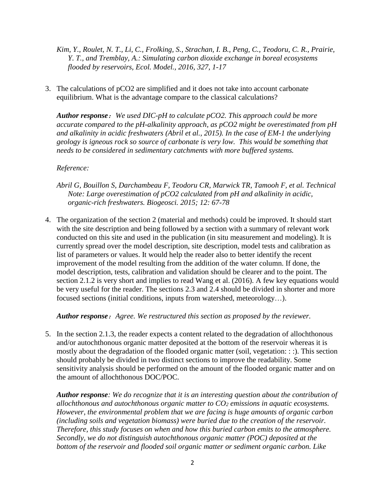- *Kim, Y., Roulet, N. T., Li, C., Frolking, S., Strachan, I. B., Peng, C., Teodoru, C. R., Prairie, Y. T., and Tremblay, A.: Simulating carbon dioxide exchange in boreal ecosystems flooded by reservoirs, Ecol. Model., 2016, 327, 1-17*
- 3. The calculations of pCO2 are simplified and it does not take into account carbonate equilibrium. What is the advantage compare to the classical calculations?

*Author response*:*We used DIC-pH to calculate pCO2. This approach could be more accurate compared to the pH-alkalinity approach, as pCO2 might be overestimated from pH and alkalinity in acidic freshwaters (Abril et al., 2015). In the case of EM-1 the underlying geology is igneous rock so source of carbonate is very low. This would be something that needs to be considered in sedimentary catchments with more buffered systems.*

# *Reference:*

- *Abril G, Bouillon S, Darchambeau F, Teodoru CR, Marwick TR, Tamooh F, et al. Technical Note: Large overestimation of pCO2 calculated from pH and alkalinity in acidic, organic-rich freshwaters. Biogeosci. 2015; 12: 67-78*
- 4. The organization of the section 2 (material and methods) could be improved. It should start with the site description and being followed by a section with a summary of relevant work conducted on this site and used in the publication (in situ measurement and modeling). It is currently spread over the model description, site description, model tests and calibration as list of parameters or values. It would help the reader also to better identify the recent improvement of the model resulting from the addition of the water column. If done, the model description, tests, calibration and validation should be clearer and to the point. The section 2.1.2 is very short and implies to read Wang et al. (2016). A few key equations would be very useful for the reader. The sections 2.3 and 2.4 should be divided in shorter and more focused sections (initial conditions, inputs from watershed, meteorology…).

*Author response*:*Agree. We restructured this section as proposed by the reviewer.* 

5. In the section 2.1.3, the reader expects a content related to the degradation of allochthonous and/or autochthonous organic matter deposited at the bottom of the reservoir whereas it is mostly about the degradation of the flooded organic matter (soil, vegetation: : :). This section should probably be divided in two distinct sections to improve the readability. Some sensitivity analysis should be performed on the amount of the flooded organic matter and on the amount of allochthonous DOC/POC.

*Author response: We do recognize that it is an interesting question about the contribution of allochthonous and autochthonous organic matter to CO<sup>2</sup> emissions in aquatic ecosystems. However, the environmental problem that we are facing is huge amounts of organic carbon (including soils and vegetation biomass) were buried due to the creation of the reservoir. Therefore, this study focuses on when and how this buried carbon emits to the atmosphere. Secondly, we do not distinguish autochthonous organic matter (POC) deposited at the bottom of the reservoir and flooded soil organic matter or sediment organic carbon. Like*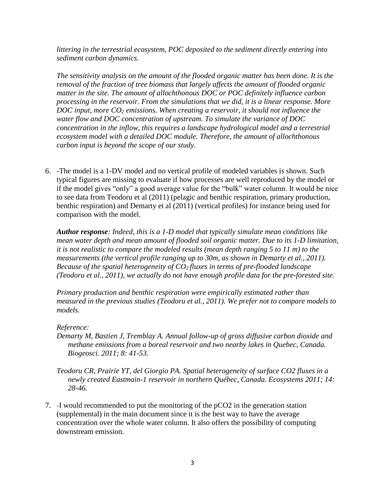*littering in the terrestrial ecosystem, POC deposited to the sediment directly entering into sediment carbon dynamics.*

*The sensitivity analysis on the amount of the flooded organic matter has been done. It is the removal of the fraction of tree biomass that largely affects the amount of flooded organic matter in the site. The amount of allochthonous DOC or POC definitely influence carbon processing in the reservoir. From the simulations that we did, it is a linear response. More DOC input, more CO<sup>2</sup> emissions. When creating a reservoir, it should not influence the water flow and DOC concentration of upstream. To simulate the variance of DOC concentration in the inflow, this requires a landscape hydrological model and a terrestrial ecosystem model with a detailed DOC module. Therefore, the amount of allochthonous carbon input is beyond the scope of our study.* 

6. -The model is a 1-DV model and no vertical profile of modeled variables is shown. Such typical figures are missing to evaluate if how processes are well reproduced by the model or if the model gives "only" a good average value for the "bulk" water column. It would be nice to see data from Teodoru et al (2011) (pelagic and benthic respiration, primary production, benthic respiration) and Demarty et al (2011) (vertical profiles) for instance being used for comparison with the model.

*Author response: Indeed, this is a 1-D model that typically simulate mean conditions like mean water depth and mean amount of flooded soil organic matter. Due to its 1-D limitation, it is not realistic to compare the modeled results (mean depth ranging 5 to 11 m) to the measurements (the vertical profile ranging up to 30m, as shown in Demarty et al., 2011). Because of the spatial heterogeneity of CO2 fluxes in terms of pre-flooded landscape (Teodoru et al., 2011), we actually do not have enough profile data for the pre-forested site.* 

*Primary production and benthic respiration were empirically estimated rather than measured in the previous studies (Teodoru et al., 2011). We prefer not to compare models to models.* 

## *Reference:*

- *Demarty M, Bastien J, Tremblay A. Annual follow-up of gross diffusive carbon dioxide and methane emissions from a boreal reservoir and two nearby lakes in Quebec, Canada. Biogeosci. 2011; 8: 41-53.*
- *Teodoru CR, Prairie YT, del Giorgio PA. Spatial heterogeneity of surface CO2 fluxes in a newly created Eastmain-1 reservoir in northern Québec, Canada. Ecosystems 2011; 14: 28-46.*
- 7. -I would recommended to put the monitoring of the pCO2 in the generation station (supplemental) in the main document since it is the best way to have the average concentration over the whole water column. It also offers the possibility of computing downstream emission.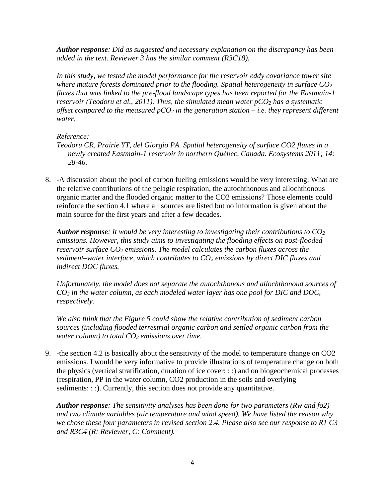*Author response: Did as suggested and necessary explanation on the discrepancy has been added in the text. Reviewer 3 has the similar comment (R3C18).* 

*In this study, we tested the model performance for the reservoir eddy covariance tower site where mature forests dominated prior to the flooding. Spatial heterogeneity in surface CO<sup>2</sup> fluxes that was linked to the pre-flood landscape types has been reported for the Eastmain-1 reservoir (Teodoru et al., 2011). Thus, the simulated mean water pCO<sup>2</sup> has a systematic offset compared to the measured pCO<sup>2</sup> in the generation station – i.e. they represent different water.*

# *Reference:*

- *Teodoru CR, Prairie YT, del Giorgio PA. Spatial heterogeneity of surface CO2 fluxes in a newly created Eastmain-1 reservoir in northern Québec, Canada. Ecosystems 2011; 14: 28-46.*
- 8. -A discussion about the pool of carbon fueling emissions would be very interesting: What are the relative contributions of the pelagic respiration, the autochthonous and allochthonous organic matter and the flooded organic matter to the CO2 emissions? Those elements could reinforce the section 4.1 where all sources are listed but no information is given about the main source for the first years and after a few decades.

*Author response: It would be very interesting to investigating their contributions to CO<sup>2</sup> emissions. However, this study aims to investigating the flooding effects on post-flooded reservoir surface CO<sup>2</sup> emissions. The model calculates the carbon fluxes across the sediment–water interface, which contributes to CO<sup>2</sup> emissions by direct DIC fluxes and indirect DOC fluxes.* 

*Unfortunately, the model does not separate the autochthonous and allochthonoud sources of CO<sup>2</sup> in the water column, as each modeled water layer has one pool for DIC and DOC, respectively.*

*We also think that the Figure 5 could show the relative contribution of sediment carbon sources (including flooded terrestrial organic carbon and settled organic carbon from the water column) to total CO<sup>2</sup> emissions over time.* 

9. -the section 4.2 is basically about the sensitivity of the model to temperature change on CO2 emissions. I would be very informative to provide illustrations of temperature change on both the physics (vertical stratification, duration of ice cover: : :) and on biogeochemical processes (respiration, PP in the water column, CO2 production in the soils and overlying sediments: : :). Currently, this section does not provide any quantitative.

*Author response: The sensitivity analyses has been done for two parameters (Rw and fo2) and two climate variables (air temperature and wind speed). We have listed the reason why we chose these four parameters in revised section 2.4. Please also see our response to R1 C3 and R3C4 (R: Reviewer, C: Comment).*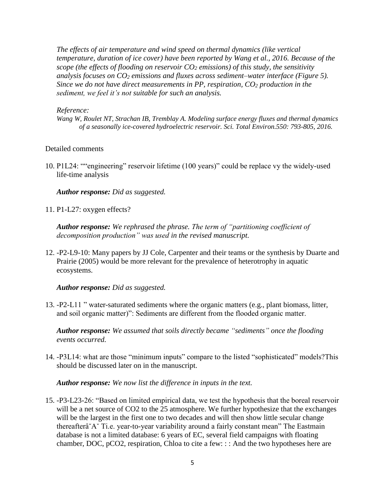*The effects of air temperature and wind speed on thermal dynamics (like vertical temperature, duration of ice cover) have been reported by Wang et al., 2016. Because of the scope (the effects of flooding on reservoir CO<sup>2</sup> emissions) of this study, the sensitivity analysis focuses on CO<sup>2</sup> emissions and fluxes across sediment–water interface (Figure 5). Since we do not have direct measurements in PP, respiration, CO<sup>2</sup> production in the sediment, we feel it's not suitable for such an analysis.*

#### *Reference:*

*Wang W, Roulet NT, Strachan IB, Tremblay A. Modeling surface energy fluxes and thermal dynamics of a seasonally ice-covered hydroelectric reservoir. Sci. Total Environ.550: 793-805, 2016.*

#### Detailed comments

10. P1L24: ""engineering" reservoir lifetime (100 years)" could be replace vy the widely-used life-time analysis

*Author response: Did as suggested.* 

11. P1-L27: oxygen effects?

*Author response: We rephrased the phrase. The term of "partitioning coefficient of decomposition production" was used in the revised manuscript.* 

12. -P2-L9-10: Many papers by JJ Cole, Carpenter and their teams or the synthesis by Duarte and Prairie (2005) would be more relevant for the prevalence of heterotrophy in aquatic ecosystems.

*Author response: Did as suggested.*

13. -P2-L11 " water-saturated sediments where the organic matters (e.g., plant biomass, litter, and soil organic matter)": Sediments are different from the flooded organic matter.

*Author response: We assumed that soils directly became "sediments" once the flooding events occurred.*

14. -P3L14: what are those "minimum inputs" compare to the listed "sophisticated" models?This should be discussed later on in the manuscript.

*Author response: We now list the difference in inputs in the text.* 

15. -P3-L23-26: "Based on limited empirical data, we test the hypothesis that the boreal reservoir will be a net source of CO2 to the 25 atmosphere. We further hypothesize that the exchanges will be the largest in the first one to two decades and will then show little secular change thereafterâ˘Aˇ Ti.e. year-to-year variability around a fairly constant mean" The Eastmain database is not a limited database: 6 years of EC, several field campaigns with floating chamber, DOC, pCO2, respiration, Chloa to cite a few: : : And the two hypotheses here are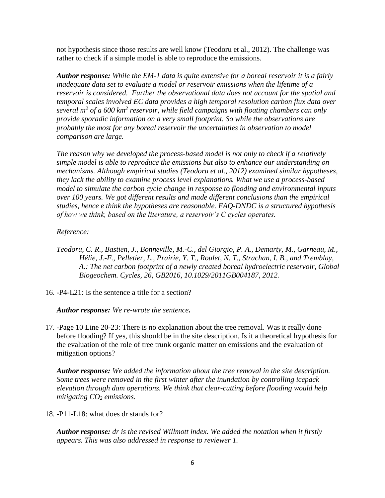not hypothesis since those results are well know (Teodoru et al., 2012). The challenge was rather to check if a simple model is able to reproduce the emissions.

*Author response: While the EM-1 data is quite extensive for a boreal reservoir it is a fairly inadequate data set to evaluate a model or reservoir emissions when the lifetime of a reservoir is considered. Further the observational data does not account for the spatial and temporal scales involved EC data provides a high temporal resolution carbon flux data over several m<sup>2</sup> of a 600 km<sup>2</sup> reservoir, while field campaigns with floating chambers can only provide sporadic information on a very small footprint. So while the observations are probably the most for any boreal reservoir the uncertainties in observation to model comparison are large.* 

*The reason why we developed the process-based model is not only to check if a relatively simple model is able to reproduce the emissions but also to enhance our understanding on mechanisms. Although empirical studies (Teodoru et al., 2012) examined similar hypotheses, they lack the ability to examine process level explanations. What we use a process-based model to simulate the carbon cycle change in response to flooding and environmental inputs over 100 years. We got different results and made different conclusions than the empirical studies, hence e think the hypotheses are reasonable. FAQ-DNDC is a structured hypothesis of how we think, based on the literature, a reservoir's C cycles operates.* 

# *Reference:*

- *Teodoru, C. R., Bastien, J., Bonneville, M.-C., del Giorgio, P. A., Demarty, M., Garneau, M., Hélie, J.-F., Pelletier, L., Prairie, Y. T., Roulet, N. T., Strachan, I. B., and Tremblay, A.: The net carbon footprint of a newly created boreal hydroelectric reservoir, Global Biogeochem. Cycles, 26, GB2016, 10.1029/2011GB004187, 2012.*
- 16. -P4-L21: Is the sentence a title for a section?

*Author response: We re-wrote the sentence.* 

17. -Page 10 Line 20-23: There is no explanation about the tree removal. Was it really done before flooding? If yes, this should be in the site description. Is it a theoretical hypothesis for the evaluation of the role of tree trunk organic matter on emissions and the evaluation of mitigation options?

*Author response: We added the information about the tree removal in the site description. Some trees were removed in the first winter after the inundation by controlling icepack elevation through dam operations. We think that clear-cutting before flooding would help mitigating CO<sup>2</sup> emissions.* 

18. -P11-L18: what does dr stands for?

*Author response: dr is the revised Willmott index. We added the notation when it firstly appears. This was also addressed in response to reviewer 1.*